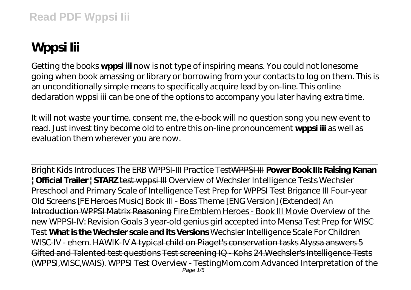## **Wppsi Iii**

Getting the books **wppsi iii** now is not type of inspiring means. You could not lonesome going when book amassing or library or borrowing from your contacts to log on them. This is an unconditionally simple means to specifically acquire lead by on-line. This online declaration wppsi iii can be one of the options to accompany you later having extra time.

It will not waste your time. consent me, the e-book will no question song you new event to read. Just invest tiny become old to entre this on-line pronouncement **wppsi iii** as well as evaluation them wherever you are now.

Bright Kids Introduces The ERB WPPSI-III Practice TestWPPSI III **Power Book III: Raising Kanan | Official Trailer | STARZ** test wppsi III *Overview of Wechsler Intelligence Tests Wechsler Preschool and Primary Scale of Intelligence Test Prep for WPPSI Test Brigance III Four-year Old Screens* [FE Heroes Music] Book III - Boss Theme [ENG Version] (Extended) An Introduction WPPSI Matrix Reasoning Fire Emblem Heroes - Book III Movie *Overview of the new WPPSI-IV: Revision Goals 3 year-old genius girl accepted into Mensa Test Prep for WISC Test* **What is the Wechsler scale and its Versions** Wechsler Intelligence Scale For Children WISC-IV - ehem. HAWIK-IV A typical child on Piaget's conservation tasks Alyssa answers 5 Gifted and Talented test questions Test screening IQ - Kohs 24.Wechsler's Intelligence Tests (WPPSI,WISC,WAIS). *WPPSI Test Overview - TestingMom.com* Advanced Interpretation of the Page 1/5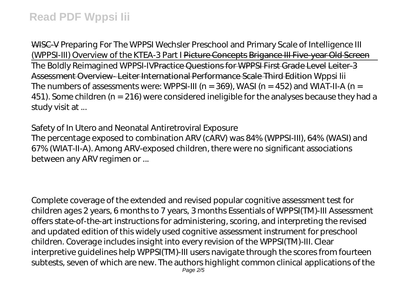WISC-V Preparing For The WPPSI *Wechsler Preschool and Primary Scale of Intelligence III (WPPSI-III) Overview of the KTEA-3 Part I* Picture Concepts Brigance III Five-year Old Screen The Boldly Reimagined WPPSI-IVPractice Questions for WPPSI First Grade Level Leiter-3 Assessment Overview- Leiter International Performance Scale Third Edition *Wppsi Iii* The numbers of assessments were: WPPSI-III ( $n = 369$ ), WASI ( $n = 452$ ) and WIAT-II-A ( $n =$ 451). Some children (n = 216) were considered ineligible for the analyses because they had a study visit at ...

## *Safety of In Utero and Neonatal Antiretroviral Exposure*

The percentage exposed to combination ARV (cARV) was 84% (WPPSI-III), 64% (WASI) and 67% (WIAT-II-A). Among ARV-exposed children, there were no significant associations between any ARV regimen or ...

Complete coverage of the extended and revised popular cognitive assessment test for children ages 2 years, 6 months to 7 years, 3 months Essentials of WPPSI(TM)-III Assessment offers state-of-the-art instructions for administering, scoring, and interpreting the revised and updated edition of this widely used cognitive assessment instrument for preschool children. Coverage includes insight into every revision of the WPPSI(TM)-III. Clear interpretive guidelines help WPPSI(TM)-III users navigate through the scores from fourteen subtests, seven of which are new. The authors highlight common clinical applications of the Page 2/5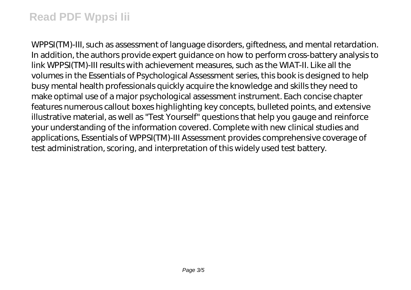WPPSI(TM)-III, such as assessment of language disorders, giftedness, and mental retardation. In addition, the authors provide expert guidance on how to perform cross-battery analysis to link WPPSI(TM)-III results with achievement measures, such as the WIAT-II. Like all the volumes in the Essentials of Psychological Assessment series, this book is designed to help busy mental health professionals quickly acquire the knowledge and skills they need to make optimal use of a major psychological assessment instrument. Each concise chapter features numerous callout boxes highlighting key concepts, bulleted points, and extensive illustrative material, as well as "Test Yourself" questions that help you gauge and reinforce your understanding of the information covered. Complete with new clinical studies and applications, Essentials of WPPSI(TM)-III Assessment provides comprehensive coverage of test administration, scoring, and interpretation of this widely used test battery.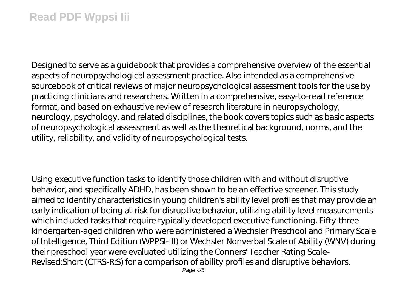Designed to serve as a guidebook that provides a comprehensive overview of the essential aspects of neuropsychological assessment practice. Also intended as a comprehensive sourcebook of critical reviews of major neuropsychological assessment tools for the use by practicing clinicians and researchers. Written in a comprehensive, easy-to-read reference format, and based on exhaustive review of research literature in neuropsychology, neurology, psychology, and related disciplines, the book covers topics such as basic aspects of neuropsychological assessment as well as the theoretical background, norms, and the utility, reliability, and validity of neuropsychological tests.

Using executive function tasks to identify those children with and without disruptive behavior, and specifically ADHD, has been shown to be an effective screener. This study aimed to identify characteristics in young children's ability level profiles that may provide an early indication of being at-risk for disruptive behavior, utilizing ability level measurements which included tasks that require typically developed executive functioning. Fifty-three kindergarten-aged children who were administered a Wechsler Preschool and Primary Scale of Intelligence, Third Edition (WPPSI-III) or Wechsler Nonverbal Scale of Ability (WNV) during their preschool year were evaluated utilizing the Conners' Teacher Rating Scale-Revised:Short (CTRS-R:S) for a comparison of ability profiles and disruptive behaviors.